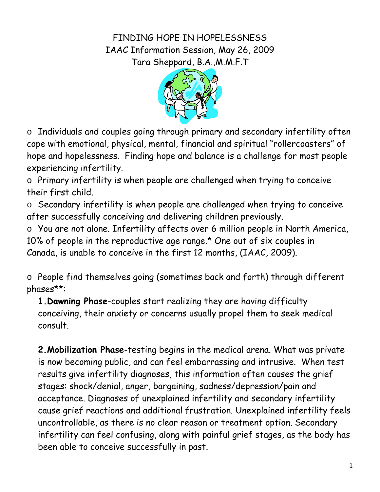FINDING HOPE IN HOPELESSNESS IAAC Information Session, May 26, 2009 Tara Sheppard, B.A.,M.M.F.T



o Individuals and couples going through primary and secondary infertility often cope with emotional, physical, mental, financial and spiritual "rollercoasters" of hope and hopelessness. Finding hope and balance is a challenge for most people experiencing infertility.

o Primary infertility is when people are challenged when trying to conceive their first child.

o Secondary infertility is when people are challenged when trying to conceive after successfully conceiving and delivering children previously.

o You are not alone. Infertility affects over 6 million people in North America, 10% of people in the reproductive age range.\* One out of six couples in Canada, is unable to conceive in the first 12 months, (IAAC, 2009).

o People find themselves going (sometimes back and forth) through different phases\*\*:

**1.Dawning Phase**-couples start realizing they are having difficulty conceiving, their anxiety or concerns usually propel them to seek medical consult.

**2.Mobilization Phase**-testing begins in the medical arena. What was private is now becoming public, and can feel embarrassing and intrusive. When test results give infertility diagnoses, this information often causes the grief stages: shock/denial, anger, bargaining, sadness/depression/pain and acceptance. Diagnoses of unexplained infertility and secondary infertility cause grief reactions and additional frustration. Unexplained infertility feels uncontrollable, as there is no clear reason or treatment option. Secondary infertility can feel confusing, along with painful grief stages, as the body has been able to conceive successfully in past.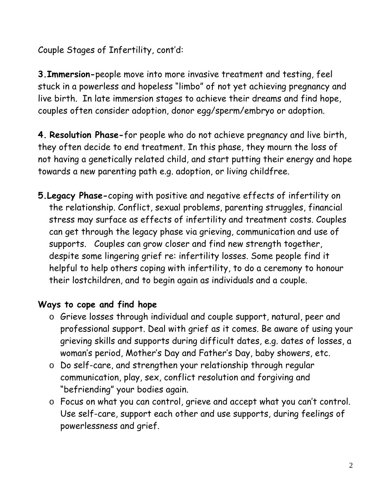# Couple Stages of Infertility, cont'd:

**3.Immersion-**people move into more invasive treatment and testing, feel stuck in a powerless and hopeless "limbo" of not yet achieving pregnancy and live birth. In late immersion stages to achieve their dreams and find hope, couples often consider adoption, donor egg/sperm/embryo or adoption.

**4. Resolution Phase-**for people who do not achieve pregnancy and live birth, they often decide to end treatment. In this phase, they mourn the loss of not having a genetically related child, and start putting their energy and hope towards a new parenting path e.g. adoption, or living childfree.

**5.Legacy Phase-**coping with positive and negative effects of infertility on the relationship. Conflict, sexual problems, parenting struggles, financial stress may surface as effects of infertility and treatment costs. Couples can get through the legacy phase via grieving, communication and use of supports. Couples can grow closer and find new strength together, despite some lingering grief re: infertility losses. Some people find it helpful to help others coping with infertility, to do a ceremony to honour their lostchildren, and to begin again as individuals and a couple.

# **Ways to cope and find hope**

- o Grieve losses through individual and couple support, natural, peer and professional support. Deal with grief as it comes. Be aware of using your grieving skills and supports during difficult dates, e.g. dates of losses, a woman's period, Mother's Day and Father's Day, baby showers, etc.
- o Do self-care, and strengthen your relationship through regular communication, play, sex, conflict resolution and forgiving and "befriending" your bodies again.
- o Focus on what you can control, grieve and accept what you can't control. Use self-care, support each other and use supports, during feelings of powerlessness and grief.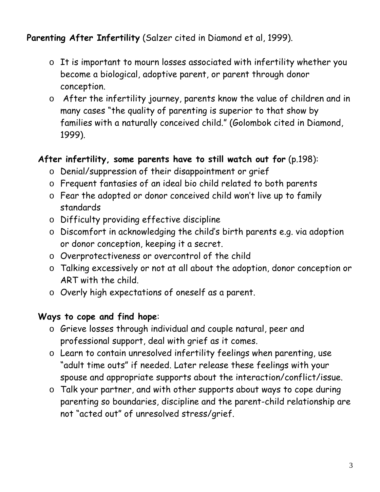## **Parenting After Infertility** (Salzer cited in Diamond et al, 1999).

- o It is important to mourn losses associated with infertility whether you become a biological, adoptive parent, or parent through donor conception.
- o After the infertility journey, parents know the value of children and in many cases "the quality of parenting is superior to that show by families with a naturally conceived child." (Golombok cited in Diamond, 1999).

### **After infertility, some parents have to still watch out for** (p.198):

- o Denial/suppression of their disappointment or grief
- o Frequent fantasies of an ideal bio child related to both parents
- o Fear the adopted or donor conceived child won't live up to family standards
- o Difficulty providing effective discipline
- o Discomfort in acknowledging the child's birth parents e.g. via adoption or donor conception, keeping it a secret.
- o Overprotectiveness or overcontrol of the child
- o Talking excessively or not at all about the adoption, donor conception or ART with the child.
- o Overly high expectations of oneself as a parent.

### **Ways to cope and find hope**:

- o Grieve losses through individual and couple natural, peer and professional support, deal with grief as it comes.
- o Learn to contain unresolved infertility feelings when parenting, use "adult time outs" if needed. Later release these feelings with your spouse and appropriate supports about the interaction/conflict/issue.
- o Talk your partner, and with other supports about ways to cope during parenting so boundaries, discipline and the parent-child relationship are not "acted out" of unresolved stress/grief.